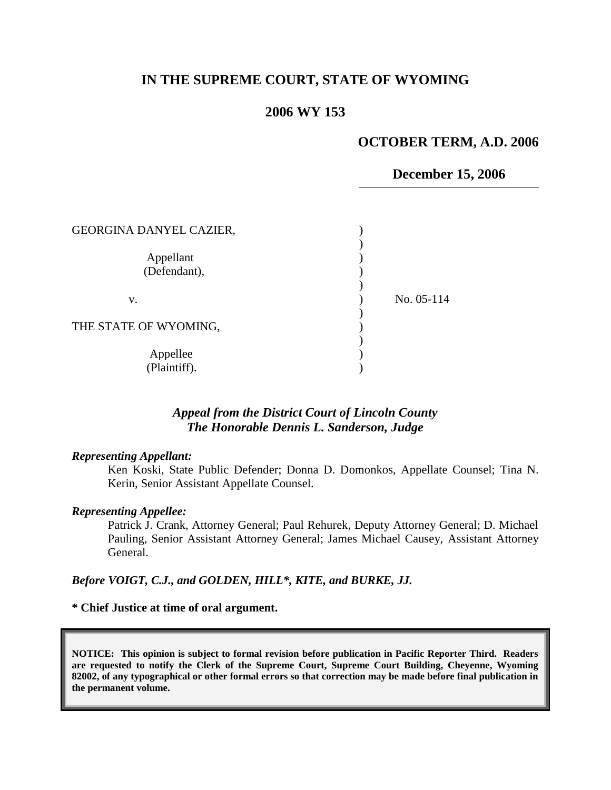# **IN THE SUPREME COURT, STATE OF WYOMING**

### **2006 WY 153**

### **OCTOBER TERM, A.D. 2006**

#### **December 15, 2006**

| GEORGINA DANYEL CAZIER,   |            |
|---------------------------|------------|
| Appellant<br>(Defendant), |            |
| V.                        | No. 05-114 |
| THE STATE OF WYOMING,     |            |
| Appellee<br>(Plaintiff).  |            |

## *Appeal from the District Court of Lincoln County The Honorable Dennis L. Sanderson, Judge*

#### *Representing Appellant:*

Ken Koski, State Public Defender; Donna D. Domonkos, Appellate Counsel; Tina N. Kerin, Senior Assistant Appellate Counsel.

#### *Representing Appellee:*

Patrick J. Crank, Attorney General; Paul Rehurek, Deputy Attorney General; D. Michael Pauling, Senior Assistant Attorney General; James Michael Causey, Assistant Attorney General.

#### *Before VOIGT, C.J., and GOLDEN, HILL\*, KITE, and BURKE, JJ.*

#### **\* Chief Justice at time of oral argument.**

**NOTICE: This opinion is subject to formal revision before publication in Pacific Reporter Third. Readers are requested to notify the Clerk of the Supreme Court, Supreme Court Building, Cheyenne, Wyoming 82002, of any typographical or other formal errors so that correction may be made before final publication in the permanent volume.**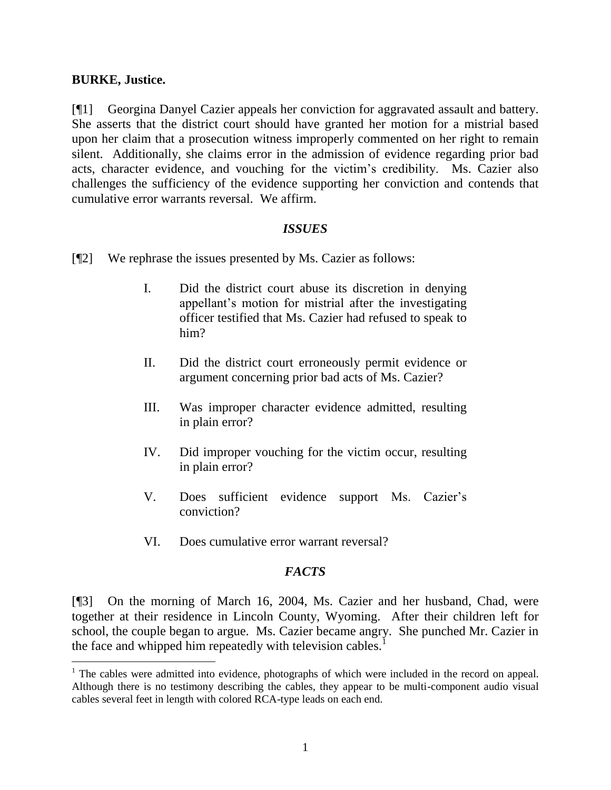### **BURKE, Justice.**

 $\overline{a}$ 

[¶1] Georgina Danyel Cazier appeals her conviction for aggravated assault and battery. She asserts that the district court should have granted her motion for a mistrial based upon her claim that a prosecution witness improperly commented on her right to remain silent. Additionally, she claims error in the admission of evidence regarding prior bad acts, character evidence, and vouching for the victim"s credibility. Ms. Cazier also challenges the sufficiency of the evidence supporting her conviction and contends that cumulative error warrants reversal. We affirm.

# *ISSUES*

- [¶2] We rephrase the issues presented by Ms. Cazier as follows:
	- I. Did the district court abuse its discretion in denying appellant"s motion for mistrial after the investigating officer testified that Ms. Cazier had refused to speak to him?
	- II. Did the district court erroneously permit evidence or argument concerning prior bad acts of Ms. Cazier?
	- III. Was improper character evidence admitted, resulting in plain error?
	- IV. Did improper vouching for the victim occur, resulting in plain error?
	- V. Does sufficient evidence support Ms. Cazier's conviction?
	- VI. Does cumulative error warrant reversal?

# *FACTS*

[¶3] On the morning of March 16, 2004, Ms. Cazier and her husband, Chad, were together at their residence in Lincoln County, Wyoming. After their children left for school, the couple began to argue. Ms. Cazier became angry. She punched Mr. Cazier in the face and whipped him repeatedly with television cables.<sup>1</sup>

<sup>&</sup>lt;sup>1</sup> The cables were admitted into evidence, photographs of which were included in the record on appeal. Although there is no testimony describing the cables, they appear to be multi-component audio visual cables several feet in length with colored RCA-type leads on each end.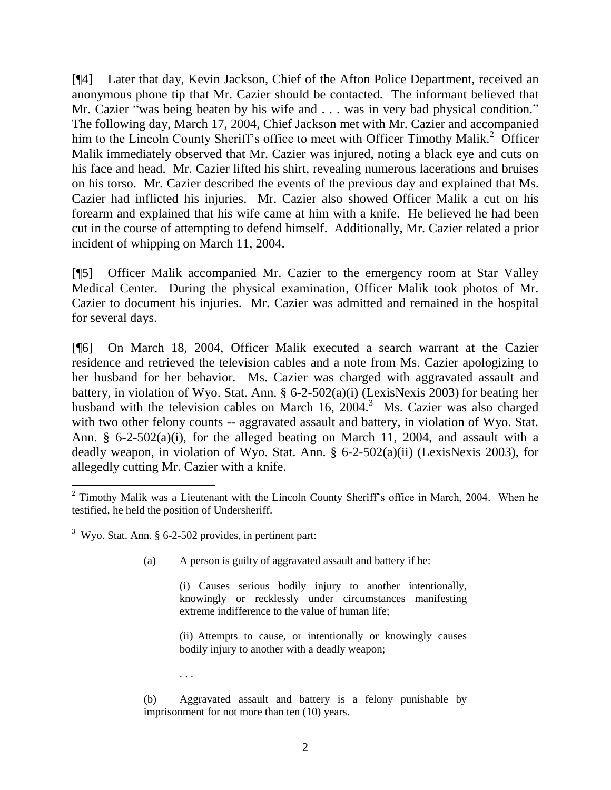[¶4] Later that day, Kevin Jackson, Chief of the Afton Police Department, received an anonymous phone tip that Mr. Cazier should be contacted. The informant believed that Mr. Cazier "was being beaten by his wife and . . . was in very bad physical condition." The following day, March 17, 2004, Chief Jackson met with Mr. Cazier and accompanied him to the Lincoln County Sheriff's office to meet with Officer Timothy Malik.<sup>2</sup> Officer Malik immediately observed that Mr. Cazier was injured, noting a black eye and cuts on his face and head. Mr. Cazier lifted his shirt, revealing numerous lacerations and bruises on his torso. Mr. Cazier described the events of the previous day and explained that Ms. Cazier had inflicted his injuries. Mr. Cazier also showed Officer Malik a cut on his forearm and explained that his wife came at him with a knife. He believed he had been cut in the course of attempting to defend himself. Additionally, Mr. Cazier related a prior incident of whipping on March 11, 2004.

[¶5] Officer Malik accompanied Mr. Cazier to the emergency room at Star Valley Medical Center. During the physical examination, Officer Malik took photos of Mr. Cazier to document his injuries. Mr. Cazier was admitted and remained in the hospital for several days.

[¶6] On March 18, 2004, Officer Malik executed a search warrant at the Cazier residence and retrieved the television cables and a note from Ms. Cazier apologizing to her husband for her behavior. Ms. Cazier was charged with aggravated assault and battery, in violation of Wyo. Stat. Ann. § 6-2-502(a)(i) (LexisNexis 2003) for beating her husband with the television cables on March 16,  $2004$ .<sup>3</sup> Ms. Cazier was also charged with two other felony counts -- aggravated assault and battery, in violation of Wyo. Stat. Ann. § 6-2-502(a)(i), for the alleged beating on March 11, 2004, and assault with a deadly weapon, in violation of Wyo. Stat. Ann. § 6-2-502(a)(ii) (LexisNexis 2003), for allegedly cutting Mr. Cazier with a knife.

 $\overline{a}$ 

(a) A person is guilty of aggravated assault and battery if he:

(i) Causes serious bodily injury to another intentionally, knowingly or recklessly under circumstances manifesting extreme indifference to the value of human life;

(ii) Attempts to cause, or intentionally or knowingly causes bodily injury to another with a deadly weapon;

. . .

(b) Aggravated assault and battery is a felony punishable by imprisonment for not more than ten (10) years.

 $2$  Timothy Malik was a Lieutenant with the Lincoln County Sheriff's office in March, 2004. When he testified, he held the position of Undersheriff.

 $3$  Wyo. Stat. Ann. § 6-2-502 provides, in pertinent part: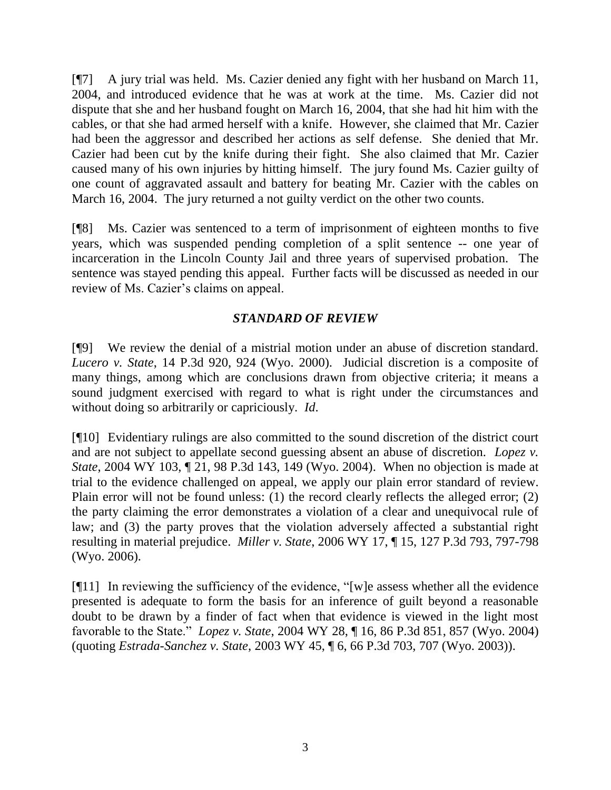[¶7] A jury trial was held. Ms. Cazier denied any fight with her husband on March 11, 2004, and introduced evidence that he was at work at the time. Ms. Cazier did not dispute that she and her husband fought on March 16, 2004, that she had hit him with the cables, or that she had armed herself with a knife. However, she claimed that Mr. Cazier had been the aggressor and described her actions as self defense. She denied that Mr. Cazier had been cut by the knife during their fight. She also claimed that Mr. Cazier caused many of his own injuries by hitting himself. The jury found Ms. Cazier guilty of one count of aggravated assault and battery for beating Mr. Cazier with the cables on March 16, 2004. The jury returned a not guilty verdict on the other two counts.

[¶8] Ms. Cazier was sentenced to a term of imprisonment of eighteen months to five years, which was suspended pending completion of a split sentence -- one year of incarceration in the Lincoln County Jail and three years of supervised probation. The sentence was stayed pending this appeal. Further facts will be discussed as needed in our review of Ms. Cazier's claims on appeal.

# *STANDARD OF REVIEW*

[¶9] We review the denial of a mistrial motion under an abuse of discretion standard. *Lucero v. State*, 14 P.3d 920, 924 (Wyo. 2000). Judicial discretion is a composite of many things, among which are conclusions drawn from objective criteria; it means a sound judgment exercised with regard to what is right under the circumstances and without doing so arbitrarily or capriciously. *Id*.

[¶10] Evidentiary rulings are also committed to the sound discretion of the district court and are not subject to appellate second guessing absent an abuse of discretion. *Lopez v. State*, 2004 WY 103, ¶ 21, 98 P.3d 143, 149 (Wyo. 2004). When no objection is made at trial to the evidence challenged on appeal, we apply our plain error standard of review. Plain error will not be found unless: (1) the record clearly reflects the alleged error; (2) the party claiming the error demonstrates a violation of a clear and unequivocal rule of law; and (3) the party proves that the violation adversely affected a substantial right resulting in material prejudice. *Miller v. State*, 2006 WY 17, ¶ 15, 127 P.3d 793, 797-798 (Wyo. 2006).

[¶11] In reviewing the sufficiency of the evidence, "[w]e assess whether all the evidence presented is adequate to form the basis for an inference of guilt beyond a reasonable doubt to be drawn by a finder of fact when that evidence is viewed in the light most favorable to the State." *Lopez v. State*, 2004 WY 28, ¶ 16, 86 P.3d 851, 857 (Wyo. 2004) (quoting *Estrada-Sanchez v. State*, 2003 WY 45, ¶ 6, 66 P.3d 703, 707 (Wyo. 2003)).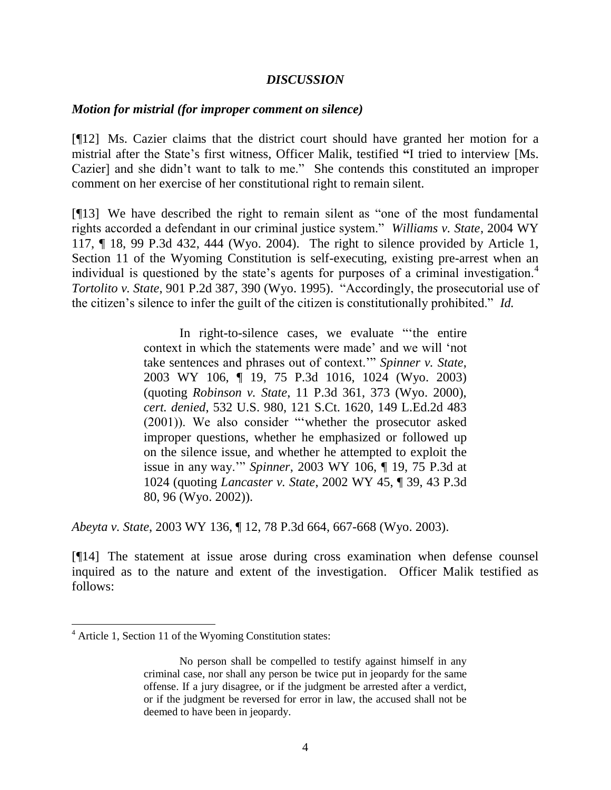### *DISCUSSION*

#### *Motion for mistrial (for improper comment on silence)*

[¶12] Ms. Cazier claims that the district court should have granted her motion for a mistrial after the State"s first witness, Officer Malik, testified **"**I tried to interview [Ms. Cazier] and she didn"t want to talk to me."She contends this constituted an improper comment on her exercise of her constitutional right to remain silent.

[¶13] We have described the right to remain silent as "one of the most fundamental rights accorded a defendant in our criminal justice system." *Williams v. State*, 2004 WY 117, ¶ 18, 99 P.3d 432, 444 (Wyo. 2004). The right to silence provided by Article 1, Section 11 of the Wyoming Constitution is self-executing, existing pre-arrest when an individual is questioned by the state's agents for purposes of a criminal investigation.<sup>4</sup> *Tortolito v. State*, 901 P.2d 387, 390 (Wyo. 1995). "Accordingly, the prosecutorial use of the citizen"s silence to infer the guilt of the citizen is constitutionally prohibited." *Id.*

> In right-to-silence cases, we evaluate ""the entire context in which the statements were made" and we will "not take sentences and phrases out of context."" *Spinner v. State*, 2003 WY 106, ¶ 19, 75 P.3d 1016, 1024 (Wyo. 2003) (quoting *Robinson v. State*, 11 P.3d 361, 373 (Wyo. 2000), *cert. denied*, 532 U.S. 980, 121 S.Ct. 1620, 149 L.Ed.2d 483 (2001)). We also consider ""whether the prosecutor asked improper questions, whether he emphasized or followed up on the silence issue, and whether he attempted to exploit the issue in any way."" *Spinner*, 2003 WY 106, ¶ 19, 75 P.3d at 1024 (quoting *Lancaster v. State*, 2002 WY 45, ¶ 39, 43 P.3d 80, 96 (Wyo. 2002)).

*Abeyta v. State*, 2003 WY 136, ¶ 12, 78 P.3d 664, 667-668 (Wyo. 2003).

[¶14] The statement at issue arose during cross examination when defense counsel inquired as to the nature and extent of the investigation. Officer Malik testified as follows:

 $\overline{a}$ 

<sup>4</sup> Article 1, Section 11 of the Wyoming Constitution states:

No person shall be compelled to testify against himself in any criminal case, nor shall any person be twice put in jeopardy for the same offense. If a jury disagree, or if the judgment be arrested after a verdict, or if the judgment be reversed for error in law, the accused shall not be deemed to have been in jeopardy.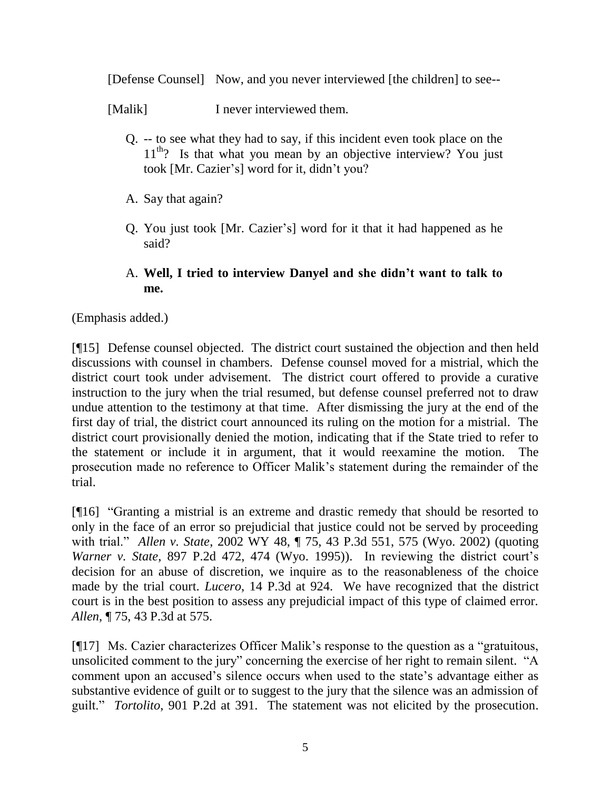[Defense Counsel] Now, and you never interviewed [the children] to see--

[Malik] I never interviewed them.

- Q. -- to see what they had to say, if this incident even took place on the  $11<sup>th</sup>$ ? Is that what you mean by an objective interview? You just took [Mr. Cazier's] word for it, didn't you?
- A. Say that again?
- Q. You just took [Mr. Cazier"s] word for it that it had happened as he said?

# A. **Well, I tried to interview Danyel and she didn't want to talk to me.**

(Emphasis added.)

[¶15] Defense counsel objected. The district court sustained the objection and then held discussions with counsel in chambers. Defense counsel moved for a mistrial, which the district court took under advisement. The district court offered to provide a curative instruction to the jury when the trial resumed, but defense counsel preferred not to draw undue attention to the testimony at that time. After dismissing the jury at the end of the first day of trial, the district court announced its ruling on the motion for a mistrial. The district court provisionally denied the motion, indicating that if the State tried to refer to the statement or include it in argument, that it would reexamine the motion. The prosecution made no reference to Officer Malik"s statement during the remainder of the trial.

[¶16] "Granting a mistrial is an extreme and drastic remedy that should be resorted to only in the face of an error so prejudicial that justice could not be served by proceeding with trial." *Allen v. State*, 2002 WY 48, ¶ 75, 43 P.3d 551, 575 (Wyo. 2002) (quoting *Warner v. State*, 897 P.2d 472, 474 (Wyo. 1995)). In reviewing the district court's decision for an abuse of discretion, we inquire as to the reasonableness of the choice made by the trial court. *Lucero*, 14 P.3d at 924. We have recognized that the district court is in the best position to assess any prejudicial impact of this type of claimed error. *Allen*, ¶ 75, 43 P.3d at 575.

[¶17] Ms. Cazier characterizes Officer Malik"s response to the question as a "gratuitous, unsolicited comment to the jury" concerning the exercise of her right to remain silent. "A comment upon an accused"s silence occurs when used to the state"s advantage either as substantive evidence of guilt or to suggest to the jury that the silence was an admission of guilt." *Tortolito*, 901 P.2d at 391. The statement was not elicited by the prosecution.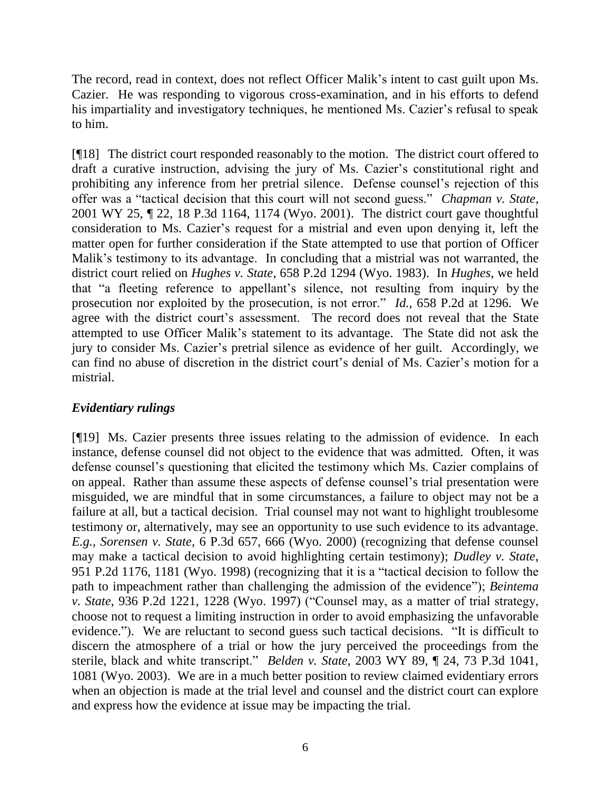The record, read in context, does not reflect Officer Malik"s intent to cast guilt upon Ms. Cazier. He was responding to vigorous cross-examination, and in his efforts to defend his impartiality and investigatory techniques, he mentioned Ms. Cazier's refusal to speak to him.

[¶18] The district court responded reasonably to the motion. The district court offered to draft a curative instruction, advising the jury of Ms. Cazier"s constitutional right and prohibiting any inference from her pretrial silence. Defense counsel"s rejection of this offer was a "tactical decision that this court will not second guess." *Chapman v. State*, 2001 WY 25, ¶ 22, 18 P.3d 1164, 1174 (Wyo. 2001). The district court gave thoughtful consideration to Ms. Cazier"s request for a mistrial and even upon denying it, left the matter open for further consideration if the State attempted to use that portion of Officer Malik"s testimony to its advantage. In concluding that a mistrial was not warranted, the district court relied on *Hughes v. State*, 658 P.2d 1294 (Wyo. 1983). In *Hughes*, we held that "a fleeting reference to appellant"s silence, not resulting from inquiry by the prosecution nor exploited by the prosecution, is not error." *Id.,* 658 P.2d at 1296. We agree with the district court's assessment. The record does not reveal that the State attempted to use Officer Malik"s statement to its advantage. The State did not ask the jury to consider Ms. Cazier"s pretrial silence as evidence of her guilt. Accordingly, we can find no abuse of discretion in the district court's denial of Ms. Cazier's motion for a mistrial.

# *Evidentiary rulings*

[¶19] Ms. Cazier presents three issues relating to the admission of evidence. In each instance, defense counsel did not object to the evidence that was admitted. Often, it was defense counsel"s questioning that elicited the testimony which Ms. Cazier complains of on appeal. Rather than assume these aspects of defense counsel"s trial presentation were misguided, we are mindful that in some circumstances, a failure to object may not be a failure at all, but a tactical decision. Trial counsel may not want to highlight troublesome testimony or, alternatively, may see an opportunity to use such evidence to its advantage. *E.g., Sorensen v. State*, 6 P.3d 657, 666 (Wyo. 2000) (recognizing that defense counsel may make a tactical decision to avoid highlighting certain testimony); *Dudley v. State*, 951 P.2d 1176, 1181 (Wyo. 1998) (recognizing that it is a "tactical decision to follow the path to impeachment rather than challenging the admission of the evidence"); *Beintema v. State*, 936 P.2d 1221, 1228 (Wyo. 1997) ("Counsel may, as a matter of trial strategy, choose not to request a limiting instruction in order to avoid emphasizing the unfavorable evidence."). We are reluctant to second guess such tactical decisions. "It is difficult to discern the atmosphere of a trial or how the jury perceived the proceedings from the sterile, black and white transcript." *Belden v. State*, 2003 WY 89, ¶ 24, 73 P.3d 1041, 1081 (Wyo. 2003). We are in a much better position to review claimed evidentiary errors when an objection is made at the trial level and counsel and the district court can explore and express how the evidence at issue may be impacting the trial.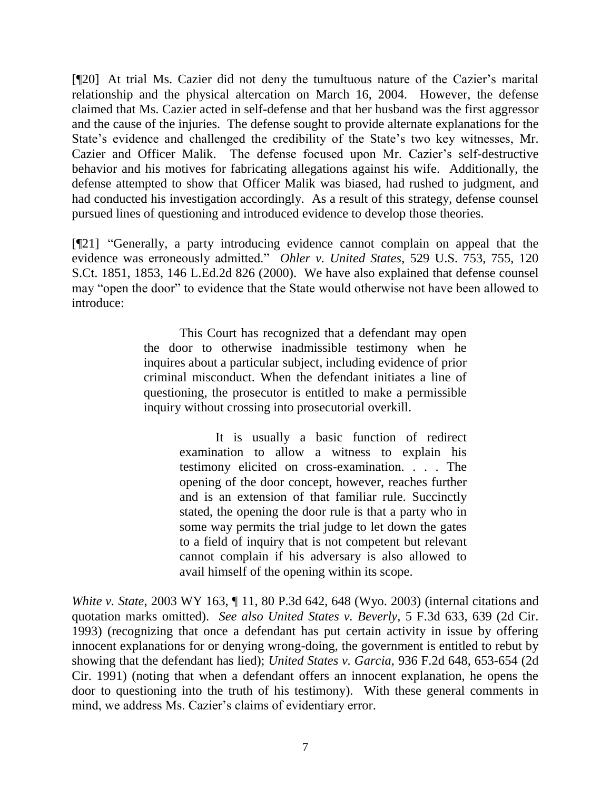[¶20] At trial Ms. Cazier did not deny the tumultuous nature of the Cazier"s marital relationship and the physical altercation on March 16, 2004. However, the defense claimed that Ms. Cazier acted in self-defense and that her husband was the first aggressor and the cause of the injuries. The defense sought to provide alternate explanations for the State's evidence and challenged the credibility of the State's two key witnesses, Mr. Cazier and Officer Malik. The defense focused upon Mr. Cazier"s self-destructive behavior and his motives for fabricating allegations against his wife. Additionally, the defense attempted to show that Officer Malik was biased, had rushed to judgment, and had conducted his investigation accordingly. As a result of this strategy, defense counsel pursued lines of questioning and introduced evidence to develop those theories.

[¶21] "Generally, a party introducing evidence cannot complain on appeal that the evidence was erroneously admitted." *Ohler v. United States*, 529 U.S. 753, 755, 120 S.Ct. 1851, 1853, 146 L.Ed.2d 826 (2000). We have also explained that defense counsel may "open the door" to evidence that the State would otherwise not have been allowed to introduce:

> This Court has recognized that a defendant may open the door to otherwise inadmissible testimony when he inquires about a particular subject, including evidence of prior criminal misconduct. When the defendant initiates a line of questioning, the prosecutor is entitled to make a permissible inquiry without crossing into prosecutorial overkill.

> > It is usually a basic function of redirect examination to allow a witness to explain his testimony elicited on cross-examination. . . . The opening of the door concept, however, reaches further and is an extension of that familiar rule. Succinctly stated, the opening the door rule is that a party who in some way permits the trial judge to let down the gates to a field of inquiry that is not competent but relevant cannot complain if his adversary is also allowed to avail himself of the opening within its scope.

*White v. State*, 2003 WY 163, ¶ 11, 80 P.3d 642, 648 (Wyo. 2003) (internal citations and quotation marks omitted). *See also United States v. Beverly*, 5 F.3d 633, 639 (2d Cir. 1993) (recognizing that once a defendant has put certain activity in issue by offering innocent explanations for or denying wrong-doing, the government is entitled to rebut by showing that the defendant has lied); *United States v. Garcia*, 936 F.2d 648, 653-654 (2d Cir. 1991) (noting that when a defendant offers an innocent explanation, he opens the door to questioning into the truth of his testimony). With these general comments in mind, we address Ms. Cazier's claims of evidentiary error.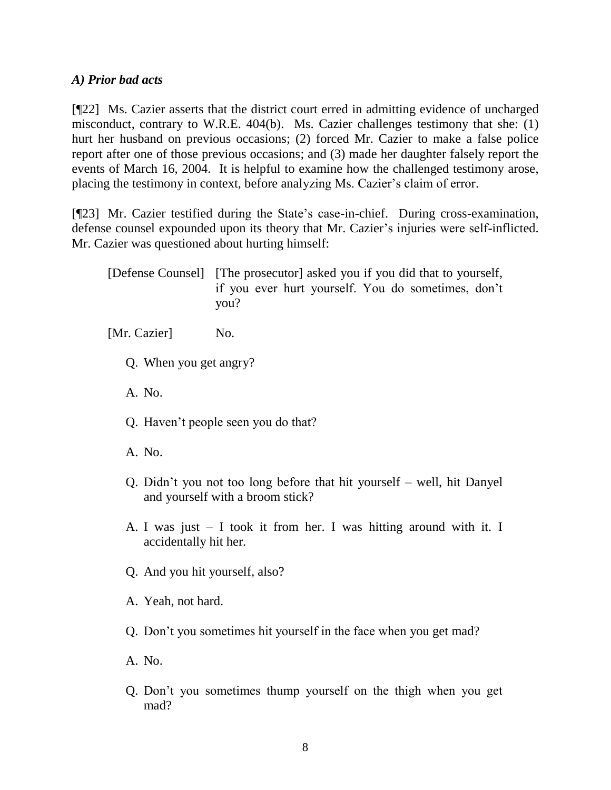## *A) Prior bad acts*

[¶22] Ms. Cazier asserts that the district court erred in admitting evidence of uncharged misconduct, contrary to W.R.E. 404(b). Ms. Cazier challenges testimony that she: (1) hurt her husband on previous occasions; (2) forced Mr. Cazier to make a false police report after one of those previous occasions; and (3) made her daughter falsely report the events of March 16, 2004. It is helpful to examine how the challenged testimony arose, placing the testimony in context, before analyzing Ms. Cazier's claim of error.

[¶23] Mr. Cazier testified during the State's case-in-chief. During cross-examination, defense counsel expounded upon its theory that Mr. Cazier's injuries were self-inflicted. Mr. Cazier was questioned about hurting himself:

[Defense Counsel] [The prosecutor] asked you if you did that to yourself, if you ever hurt yourself. You do sometimes, don"t you?

[Mr. Cazier] No.

- Q. When you get angry?
- A. No.
- Q. Haven"t people seen you do that?
- A. No.
- Q. Didn"t you not too long before that hit yourself well, hit Danyel and yourself with a broom stick?
- A. I was just I took it from her. I was hitting around with it. I accidentally hit her.
- Q. And you hit yourself, also?
- A. Yeah, not hard.
- Q. Don"t you sometimes hit yourself in the face when you get mad?
- A. No.
- Q. Don"t you sometimes thump yourself on the thigh when you get mad?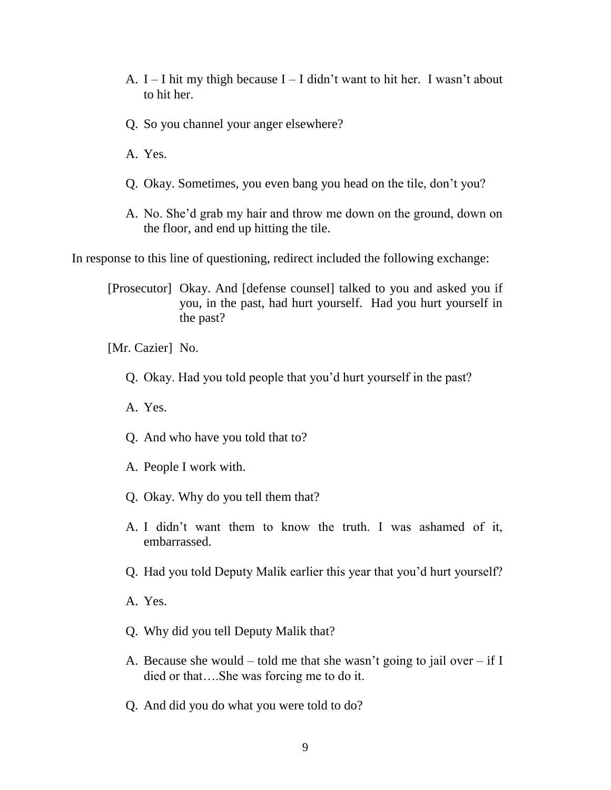- A.  $I I$  hit my thigh because  $I I$  didn't want to hit her. I wasn't about to hit her.
- Q. So you channel your anger elsewhere?
- A. Yes.
- Q. Okay. Sometimes, you even bang you head on the tile, don"t you?
- A. No. She"d grab my hair and throw me down on the ground, down on the floor, and end up hitting the tile.

In response to this line of questioning, redirect included the following exchange:

[Prosecutor] Okay. And [defense counsel] talked to you and asked you if you, in the past, had hurt yourself. Had you hurt yourself in the past?

[Mr. Cazier] No.

- Q. Okay. Had you told people that you"d hurt yourself in the past?
- A. Yes.
- Q. And who have you told that to?
- A. People I work with.
- Q. Okay. Why do you tell them that?
- A. I didn"t want them to know the truth. I was ashamed of it, embarrassed.
- Q. Had you told Deputy Malik earlier this year that you"d hurt yourself?
- A. Yes.
- Q. Why did you tell Deputy Malik that?
- A. Because she would told me that she wasn't going to jail over if I died or that….She was forcing me to do it.
- Q. And did you do what you were told to do?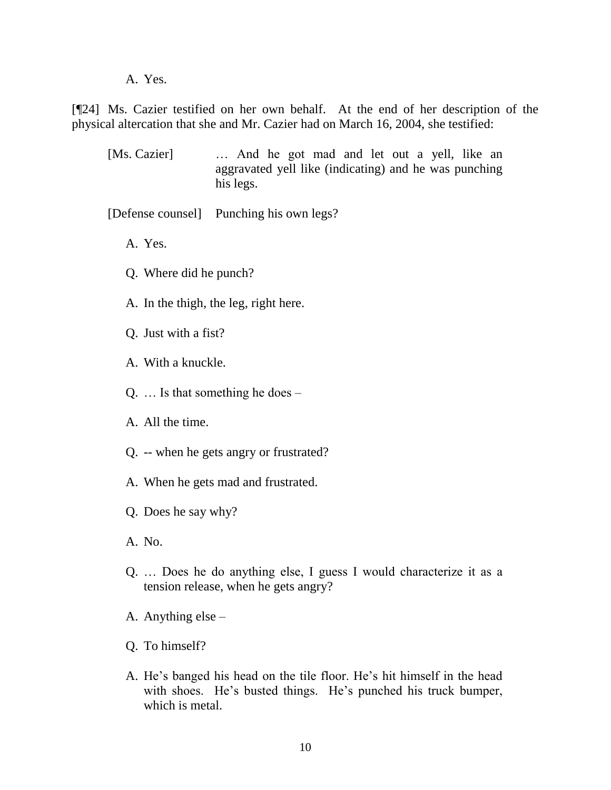A. Yes.

[¶24] Ms. Cazier testified on her own behalf. At the end of her description of the physical altercation that she and Mr. Cazier had on March 16, 2004, she testified:

[Ms. Cazier] … And he got mad and let out a yell, like an aggravated yell like (indicating) and he was punching his legs.

[Defense counsel] Punching his own legs?

- A. Yes.
- Q. Where did he punch?
- A. In the thigh, the leg, right here.
- Q. Just with a fist?
- A. With a knuckle.
- Q. … Is that something he does –
- A. All the time.
- Q. -- when he gets angry or frustrated?
- A. When he gets mad and frustrated.
- Q. Does he say why?
- A. No.
- Q. … Does he do anything else, I guess I would characterize it as a tension release, when he gets angry?
- A. Anything else –
- Q. To himself?
- A. He's banged his head on the tile floor. He's hit himself in the head with shoes. He's busted things. He's punched his truck bumper, which is metal.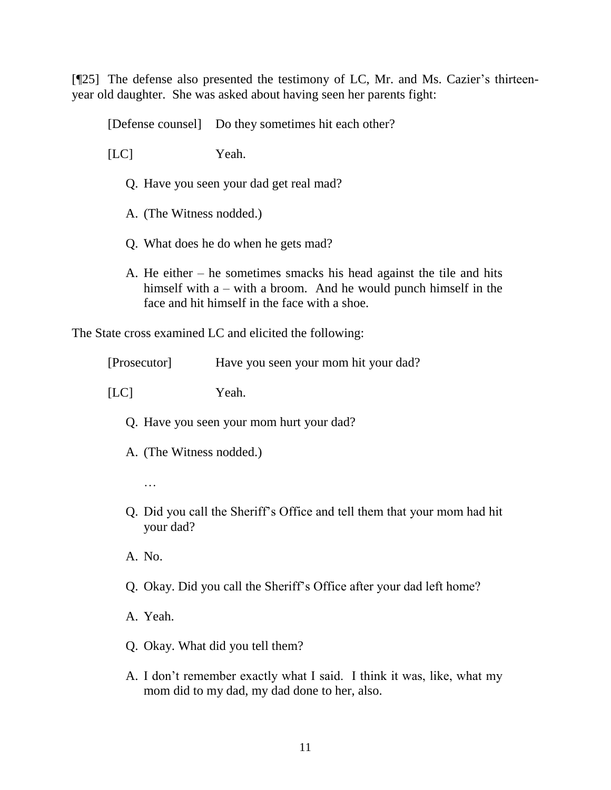[¶25] The defense also presented the testimony of LC, Mr. and Ms. Cazier's thirteenyear old daughter. She was asked about having seen her parents fight:

[Defense counsel] Do they sometimes hit each other?

[LC] Yeah.

- Q. Have you seen your dad get real mad?
- A. (The Witness nodded.)
- Q. What does he do when he gets mad?
- A. He either he sometimes smacks his head against the tile and hits himself with a – with a broom. And he would punch himself in the face and hit himself in the face with a shoe.

The State cross examined LC and elicited the following:

[Prosecutor] Have you seen your mom hit your dad?

[LC] Yeah.

- Q. Have you seen your mom hurt your dad?
- A. (The Witness nodded.)
	- …
- Q. Did you call the Sheriff"s Office and tell them that your mom had hit your dad?
- A. No.
- Q. Okay. Did you call the Sheriff"s Office after your dad left home?
- A. Yeah.
- Q. Okay. What did you tell them?
- A. I don"t remember exactly what I said. I think it was, like, what my mom did to my dad, my dad done to her, also.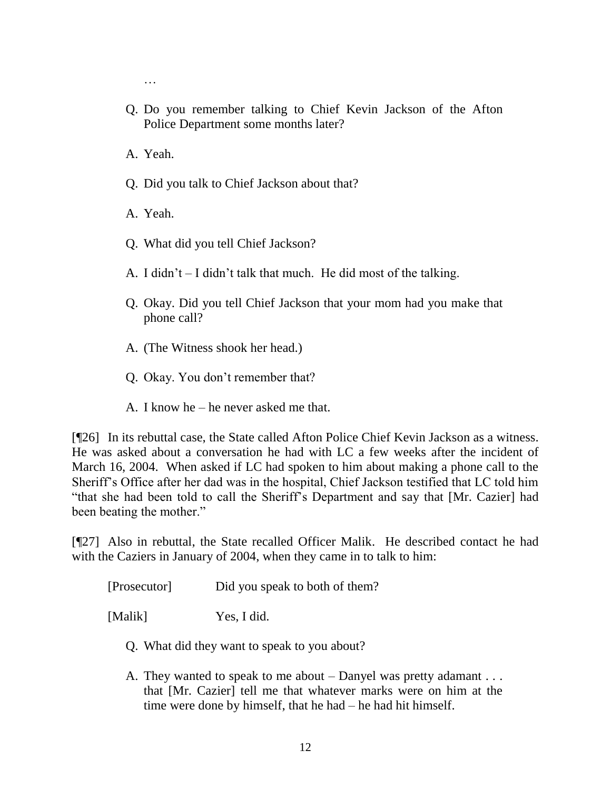- …
- Q. Do you remember talking to Chief Kevin Jackson of the Afton Police Department some months later?
- A. Yeah.
- Q. Did you talk to Chief Jackson about that?
- A. Yeah.
- Q. What did you tell Chief Jackson?
- A. I didn"t I didn"t talk that much. He did most of the talking.
- Q. Okay. Did you tell Chief Jackson that your mom had you make that phone call?
- A. (The Witness shook her head.)
- Q. Okay. You don"t remember that?
- A. I know he he never asked me that.

[¶26] In its rebuttal case, the State called Afton Police Chief Kevin Jackson as a witness. He was asked about a conversation he had with LC a few weeks after the incident of March 16, 2004. When asked if LC had spoken to him about making a phone call to the Sheriff"s Office after her dad was in the hospital, Chief Jackson testified that LC told him "that she had been told to call the Sheriff"s Department and say that [Mr. Cazier] had been beating the mother."

[¶27] Also in rebuttal, the State recalled Officer Malik. He described contact he had with the Caziers in January of 2004, when they came in to talk to him:

[Prosecutor] Did you speak to both of them?

[Malik] Yes, I did.

- Q. What did they want to speak to you about?
- A. They wanted to speak to me about Danyel was pretty adamant . . . that [Mr. Cazier] tell me that whatever marks were on him at the time were done by himself, that he had – he had hit himself.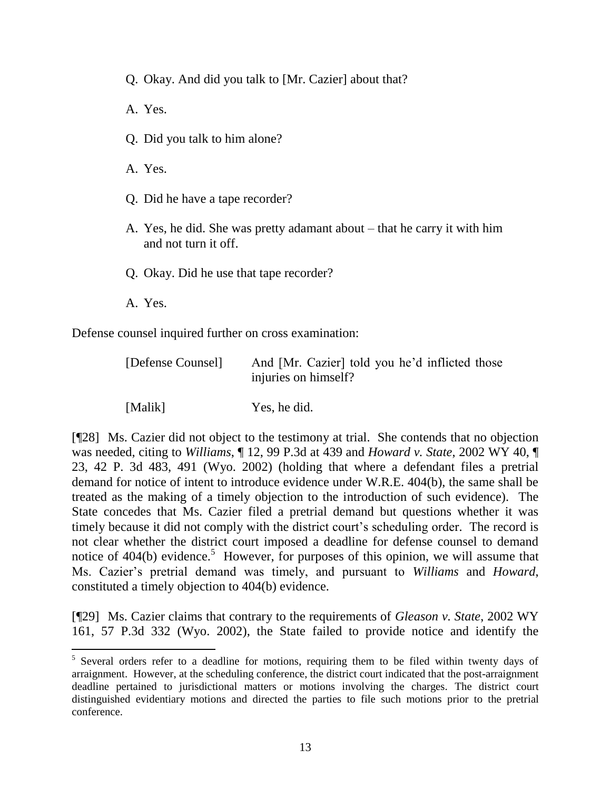Q. Okay. And did you talk to [Mr. Cazier] about that?

A. Yes.

Q. Did you talk to him alone?

A. Yes.

- Q. Did he have a tape recorder?
- A. Yes, he did. She was pretty adamant about that he carry it with him and not turn it off.
- Q. Okay. Did he use that tape recorder?
- A. Yes.

Defense counsel inquired further on cross examination:

| [Defense Counsel] | And [Mr. Cazier] told you he'd inflicted those<br>injuries on himself? |
|-------------------|------------------------------------------------------------------------|
| [Malik]           | Yes, he did.                                                           |

[¶28] Ms. Cazier did not object to the testimony at trial. She contends that no objection was needed, citing to *Williams*, ¶ 12, 99 P.3d at 439 and *Howard v. State*, 2002 WY 40, ¶ 23, 42 P. 3d 483, 491 (Wyo. 2002) (holding that where a defendant files a pretrial demand for notice of intent to introduce evidence under W.R.E. 404(b), the same shall be treated as the making of a timely objection to the introduction of such evidence). The State concedes that Ms. Cazier filed a pretrial demand but questions whether it was timely because it did not comply with the district court's scheduling order. The record is not clear whether the district court imposed a deadline for defense counsel to demand notice of  $404(b)$  evidence.<sup>5</sup> However, for purposes of this opinion, we will assume that Ms. Cazier"s pretrial demand was timely, and pursuant to *Williams* and *Howard*, constituted a timely objection to 404(b) evidence.

[¶29] Ms. Cazier claims that contrary to the requirements of *Gleason v. State*, 2002 WY 161, 57 P.3d 332 (Wyo. 2002), the State failed to provide notice and identify the

<sup>&</sup>lt;sup>5</sup> Several orders refer to a deadline for motions, requiring them to be filed within twenty days of arraignment. However, at the scheduling conference, the district court indicated that the post-arraignment deadline pertained to jurisdictional matters or motions involving the charges. The district court distinguished evidentiary motions and directed the parties to file such motions prior to the pretrial conference.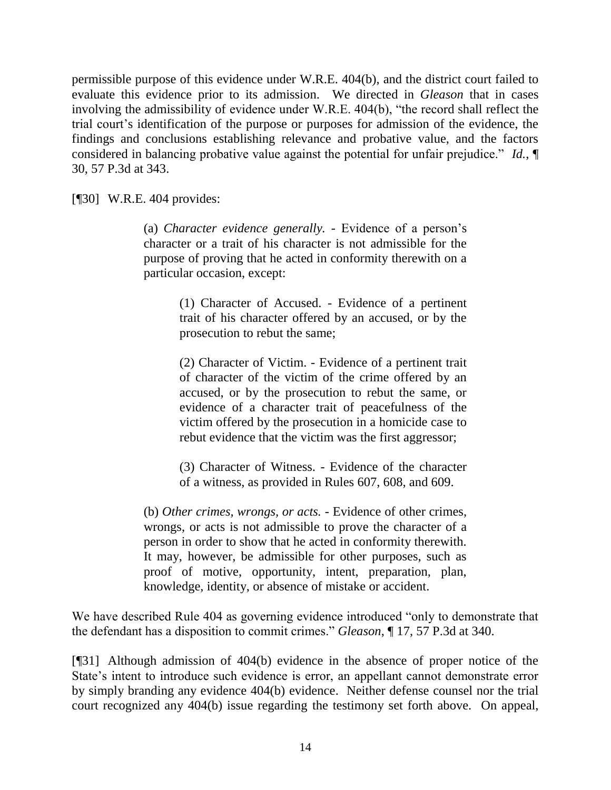permissible purpose of this evidence under W.R.E. 404(b), and the district court failed to evaluate this evidence prior to its admission. We directed in *Gleason* that in cases involving the admissibility of evidence under W.R.E. 404(b), "the record shall reflect the trial court"s identification of the purpose or purposes for admission of the evidence, the findings and conclusions establishing relevance and probative value, and the factors considered in balancing probative value against the potential for unfair prejudice." *Id.*, ¶ 30, 57 P.3d at 343.

[¶30] W.R.E. 404 provides:

(a) *Character evidence generally. -* Evidence of a person"s character or a trait of his character is not admissible for the purpose of proving that he acted in conformity therewith on a particular occasion, except:

> (1) Character of Accused. - Evidence of a pertinent trait of his character offered by an accused, or by the prosecution to rebut the same;

> (2) Character of Victim. - Evidence of a pertinent trait of character of the victim of the crime offered by an accused, or by the prosecution to rebut the same, or evidence of a character trait of peacefulness of the victim offered by the prosecution in a homicide case to rebut evidence that the victim was the first aggressor;

> (3) Character of Witness. - Evidence of the character of a witness, as provided in Rules 607, 608, and 609.

(b) *Other crimes, wrongs, or acts. -* Evidence of other crimes, wrongs, or acts is not admissible to prove the character of a person in order to show that he acted in conformity therewith. It may, however, be admissible for other purposes, such as proof of motive, opportunity, intent, preparation, plan, knowledge, identity, or absence of mistake or accident.

We have described Rule 404 as governing evidence introduced "only to demonstrate that the defendant has a disposition to commit crimes." *Gleason*, ¶ 17, 57 P.3d at 340.

[¶31] Although admission of 404(b) evidence in the absence of proper notice of the State's intent to introduce such evidence is error, an appellant cannot demonstrate error by simply branding any evidence 404(b) evidence. Neither defense counsel nor the trial court recognized any 404(b) issue regarding the testimony set forth above. On appeal,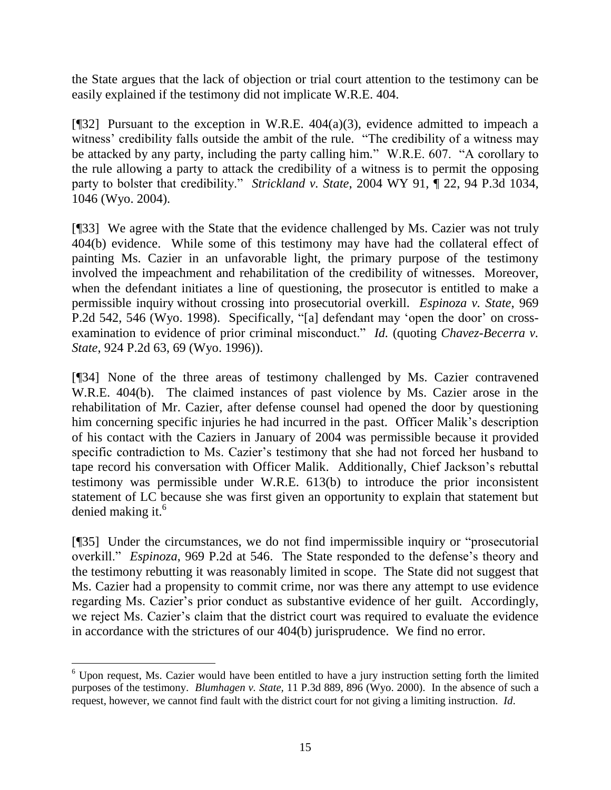the State argues that the lack of objection or trial court attention to the testimony can be easily explained if the testimony did not implicate W.R.E. 404.

[ $[$ [32] Pursuant to the exception in W.R.E. 404(a)(3), evidence admitted to impeach a witness' credibility falls outside the ambit of the rule. "The credibility of a witness may be attacked by any party, including the party calling him." W.R.E. 607. "A corollary to the rule allowing a party to attack the credibility of a witness is to permit the opposing party to bolster that credibility." *Strickland v. State*, 2004 WY 91, ¶ 22, 94 P.3d 1034, 1046 (Wyo. 2004).

[¶33] We agree with the State that the evidence challenged by Ms. Cazier was not truly 404(b) evidence. While some of this testimony may have had the collateral effect of painting Ms. Cazier in an unfavorable light, the primary purpose of the testimony involved the impeachment and rehabilitation of the credibility of witnesses. Moreover, when the defendant initiates a line of questioning, the prosecutor is entitled to make a permissible inquiry without crossing into prosecutorial overkill. *Espinoza v. State*, 969 P.2d 542, 546 (Wyo. 1998). Specifically, "[a] defendant may 'open the door' on crossexamination to evidence of prior criminal misconduct." *Id.* (quoting *Chavez-Becerra v. State*, 924 P.2d 63, 69 (Wyo. 1996)).

[¶34] None of the three areas of testimony challenged by Ms. Cazier contravened W.R.E. 404(b). The claimed instances of past violence by Ms. Cazier arose in the rehabilitation of Mr. Cazier, after defense counsel had opened the door by questioning him concerning specific injuries he had incurred in the past. Officer Malik"s description of his contact with the Caziers in January of 2004 was permissible because it provided specific contradiction to Ms. Cazier's testimony that she had not forced her husband to tape record his conversation with Officer Malik. Additionally, Chief Jackson's rebuttal testimony was permissible under W.R.E. 613(b) to introduce the prior inconsistent statement of LC because she was first given an opportunity to explain that statement but denied making it. $^6$ 

[¶35] Under the circumstances, we do not find impermissible inquiry or "prosecutorial overkill." *Espinoza*, 969 P.2d at 546. The State responded to the defense's theory and the testimony rebutting it was reasonably limited in scope. The State did not suggest that Ms. Cazier had a propensity to commit crime, nor was there any attempt to use evidence regarding Ms. Cazier"s prior conduct as substantive evidence of her guilt. Accordingly, we reject Ms. Cazier's claim that the district court was required to evaluate the evidence in accordance with the strictures of our 404(b) jurisprudence. We find no error.

 $\overline{a}$  $6$  Upon request, Ms. Cazier would have been entitled to have a jury instruction setting forth the limited purposes of the testimony. *Blumhagen v. State,* 11 P.3d 889, 896 (Wyo. 2000). In the absence of such a request, however, we cannot find fault with the district court for not giving a limiting instruction. *Id*.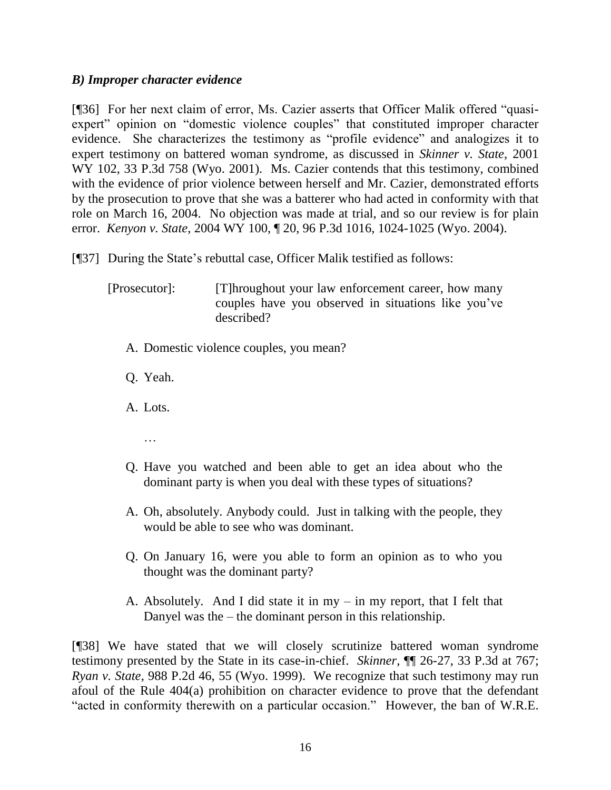# *B) Improper character evidence*

[¶36] For her next claim of error, Ms. Cazier asserts that Officer Malik offered "quasiexpert" opinion on "domestic violence couples" that constituted improper character evidence. She characterizes the testimony as "profile evidence" and analogizes it to expert testimony on battered woman syndrome, as discussed in *Skinner v. State*, 2001 WY 102, 33 P.3d 758 (Wyo. 2001). Ms. Cazier contends that this testimony, combined with the evidence of prior violence between herself and Mr. Cazier, demonstrated efforts by the prosecution to prove that she was a batterer who had acted in conformity with that role on March 16, 2004. No objection was made at trial, and so our review is for plain error. *Kenyon v. State*, 2004 WY 100, ¶ 20, 96 P.3d 1016, 1024-1025 (Wyo. 2004).

[¶37] During the State"s rebuttal case, Officer Malik testified as follows:

[Prosecutor]: [T]hroughout your law enforcement career, how many couples have you observed in situations like you"ve described?

- A. Domestic violence couples, you mean?
- Q. Yeah.
- A. Lots.
	- …
- Q. Have you watched and been able to get an idea about who the dominant party is when you deal with these types of situations?
- A. Oh, absolutely. Anybody could. Just in talking with the people, they would be able to see who was dominant.
- Q. On January 16, were you able to form an opinion as to who you thought was the dominant party?
- A. Absolutely. And I did state it in my in my report, that I felt that Danyel was the – the dominant person in this relationship.

[¶38] We have stated that we will closely scrutinize battered woman syndrome testimony presented by the State in its case-in-chief. *Skinner*, ¶¶ 26-27, 33 P.3d at 767; *Ryan v. State*, 988 P.2d 46, 55 (Wyo. 1999). We recognize that such testimony may run afoul of the Rule 404(a) prohibition on character evidence to prove that the defendant "acted in conformity therewith on a particular occasion." However, the ban of W.R.E.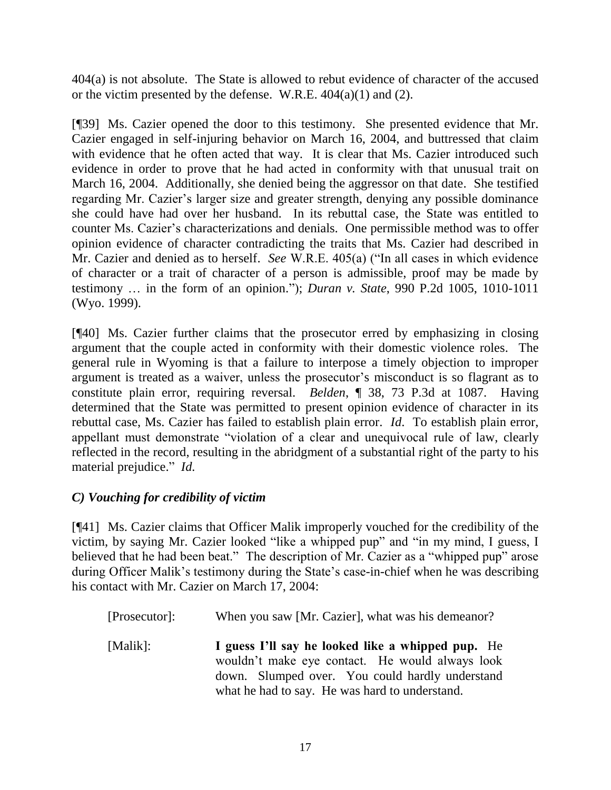404(a) is not absolute. The State is allowed to rebut evidence of character of the accused or the victim presented by the defense. W.R.E.  $404(a)(1)$  and (2).

[¶39] Ms. Cazier opened the door to this testimony. She presented evidence that Mr. Cazier engaged in self-injuring behavior on March 16, 2004, and buttressed that claim with evidence that he often acted that way. It is clear that Ms. Cazier introduced such evidence in order to prove that he had acted in conformity with that unusual trait on March 16, 2004. Additionally, she denied being the aggressor on that date. She testified regarding Mr. Cazier's larger size and greater strength, denying any possible dominance she could have had over her husband. In its rebuttal case, the State was entitled to counter Ms. Cazier"s characterizations and denials. One permissible method was to offer opinion evidence of character contradicting the traits that Ms. Cazier had described in Mr. Cazier and denied as to herself. *See* W.R.E. 405(a) ("In all cases in which evidence of character or a trait of character of a person is admissible, proof may be made by testimony … in the form of an opinion."); *Duran v. State*, 990 P.2d 1005, 1010-1011 (Wyo. 1999).

[¶40] Ms. Cazier further claims that the prosecutor erred by emphasizing in closing argument that the couple acted in conformity with their domestic violence roles. The general rule in Wyoming is that a failure to interpose a timely objection to improper argument is treated as a waiver, unless the prosecutor's misconduct is so flagrant as to constitute plain error, requiring reversal. *Belden*, ¶ 38, 73 P.3d at 1087. Having determined that the State was permitted to present opinion evidence of character in its rebuttal case, Ms. Cazier has failed to establish plain error. *Id*. To establish plain error, appellant must demonstrate "violation of a clear and unequivocal rule of law, clearly reflected in the record, resulting in the abridgment of a substantial right of the party to his material prejudice." *Id.*

# *C) Vouching for credibility of victim*

[¶41] Ms. Cazier claims that Officer Malik improperly vouched for the credibility of the victim, by saying Mr. Cazier looked "like a whipped pup" and "in my mind, I guess, I believed that he had been beat." The description of Mr. Cazier as a "whipped pup" arose during Officer Malik's testimony during the State's case-in-chief when he was describing his contact with Mr. Cazier on March 17, 2004:

| [Prosecutor]: | When you saw [Mr. Cazier], what was his demeanor?                                                                                                                                                         |
|---------------|-----------------------------------------------------------------------------------------------------------------------------------------------------------------------------------------------------------|
| [Malik]:      | I guess I'll say he looked like a whipped pup. He<br>wouldn't make eye contact. He would always look<br>down. Slumped over. You could hardly understand<br>what he had to say. He was hard to understand. |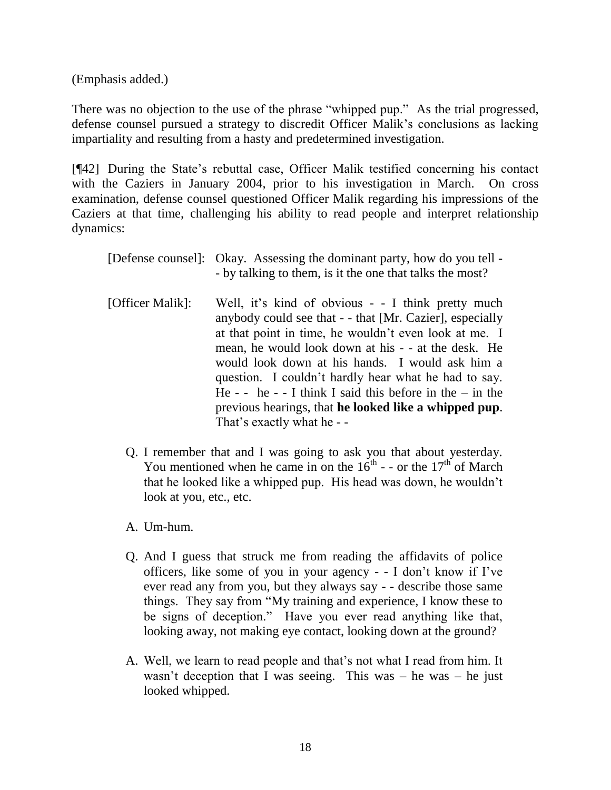(Emphasis added.)

There was no objection to the use of the phrase "whipped pup." As the trial progressed, defense counsel pursued a strategy to discredit Officer Malik"s conclusions as lacking impartiality and resulting from a hasty and predetermined investigation.

[¶42] During the State"s rebuttal case, Officer Malik testified concerning his contact with the Caziers in January 2004, prior to his investigation in March. On cross examination, defense counsel questioned Officer Malik regarding his impressions of the Caziers at that time, challenging his ability to read people and interpret relationship dynamics:

|                  | [Defense counsel]: Okay. Assessing the dominant party, how do you tell -<br>- by talking to them, is it the one that talks the most?                                                                                                                                                                                                                                                                                                                                                           |
|------------------|------------------------------------------------------------------------------------------------------------------------------------------------------------------------------------------------------------------------------------------------------------------------------------------------------------------------------------------------------------------------------------------------------------------------------------------------------------------------------------------------|
| [Officer Malik]: | Well, it's kind of obvious - - I think pretty much<br>anybody could see that - - that [Mr. Cazier], especially<br>at that point in time, he wouldn't even look at me. I<br>mean, he would look down at his - - at the desk. He<br>would look down at his hands. I would ask him a<br>question. I couldn't hardly hear what he had to say.<br>He - - he - - I think I said this before in the $-$ in the<br>previous hearings, that he looked like a whipped pup.<br>That's exactly what he - - |

- Q. I remember that and I was going to ask you that about yesterday. You mentioned when he came in on the  $16<sup>th</sup>$  - - or the  $17<sup>th</sup>$  of March that he looked like a whipped pup. His head was down, he wouldn"t look at you, etc., etc.
- A. Um-hum.
- Q. And I guess that struck me from reading the affidavits of police officers, like some of you in your agency - - I don"t know if I"ve ever read any from you, but they always say - - describe those same things. They say from "My training and experience, I know these to be signs of deception." Have you ever read anything like that, looking away, not making eye contact, looking down at the ground?
- A. Well, we learn to read people and that's not what I read from him. It wasn't deception that I was seeing. This was – he was – he just looked whipped.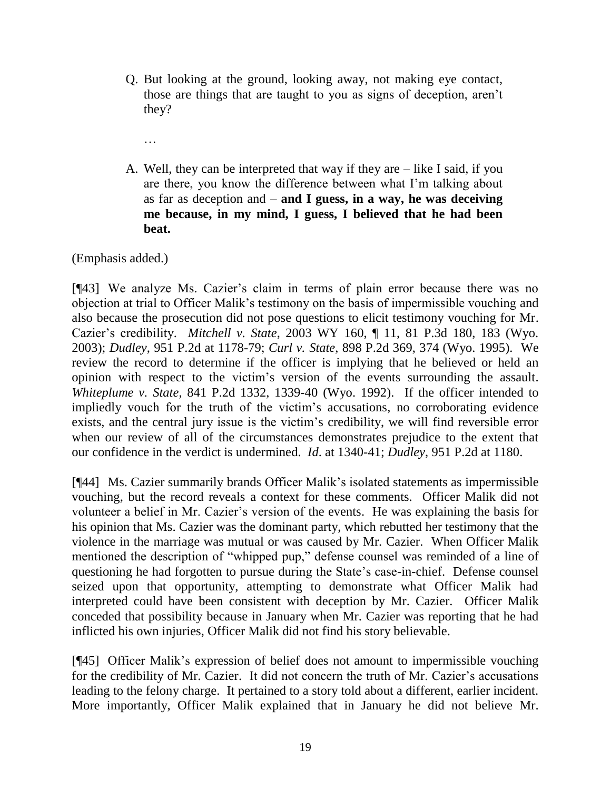- Q. But looking at the ground, looking away, not making eye contact, those are things that are taught to you as signs of deception, aren"t they?
	- …
- A. Well, they can be interpreted that way if they are like I said, if you are there, you know the difference between what I"m talking about as far as deception and – **and I guess, in a way, he was deceiving me because, in my mind, I guess, I believed that he had been beat.**

(Emphasis added.)

[¶43] We analyze Ms. Cazier"s claim in terms of plain error because there was no objection at trial to Officer Malik"s testimony on the basis of impermissible vouching and also because the prosecution did not pose questions to elicit testimony vouching for Mr. Cazier"s credibility. *Mitchell v. State*, 2003 WY 160, ¶ 11, 81 P.3d 180, 183 (Wyo. 2003); *Dudley*, 951 P.2d at 1178-79; *Curl v. State*, 898 P.2d 369, 374 (Wyo. 1995). We review the record to determine if the officer is implying that he believed or held an opinion with respect to the victim"s version of the events surrounding the assault. *Whiteplume v. State*, 841 P.2d 1332, 1339-40 (Wyo. 1992). If the officer intended to impliedly vouch for the truth of the victim"s accusations, no corroborating evidence exists, and the central jury issue is the victim's credibility, we will find reversible error when our review of all of the circumstances demonstrates prejudice to the extent that our confidence in the verdict is undermined. *Id*. at 1340-41; *Dudley*, 951 P.2d at 1180.

[¶44] Ms. Cazier summarily brands Officer Malik"s isolated statements as impermissible vouching, but the record reveals a context for these comments. Officer Malik did not volunteer a belief in Mr. Cazier"s version of the events. He was explaining the basis for his opinion that Ms. Cazier was the dominant party, which rebutted her testimony that the violence in the marriage was mutual or was caused by Mr. Cazier. When Officer Malik mentioned the description of "whipped pup," defense counsel was reminded of a line of questioning he had forgotten to pursue during the State"s case-in-chief. Defense counsel seized upon that opportunity, attempting to demonstrate what Officer Malik had interpreted could have been consistent with deception by Mr. Cazier. Officer Malik conceded that possibility because in January when Mr. Cazier was reporting that he had inflicted his own injuries, Officer Malik did not find his story believable.

[¶45] Officer Malik"s expression of belief does not amount to impermissible vouching for the credibility of Mr. Cazier. It did not concern the truth of Mr. Cazier's accusations leading to the felony charge. It pertained to a story told about a different, earlier incident. More importantly, Officer Malik explained that in January he did not believe Mr.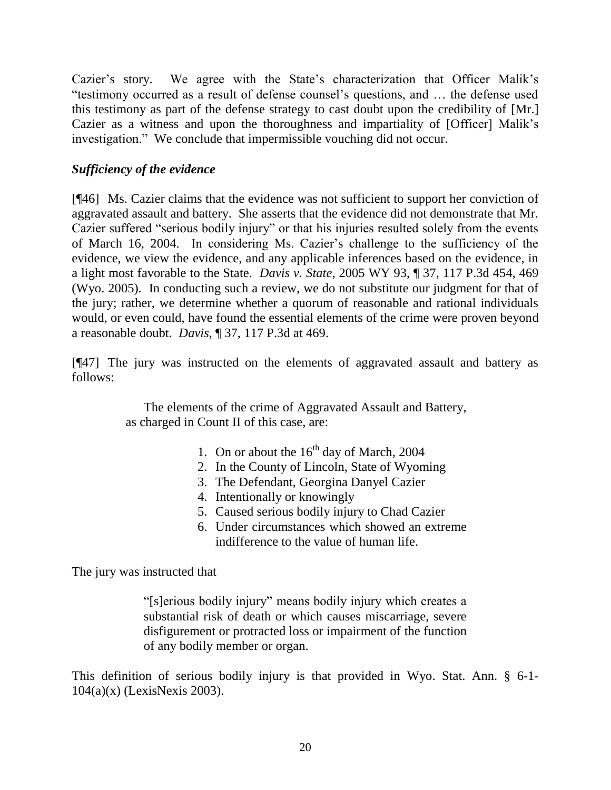Cazier's story. We agree with the State's characterization that Officer Malik's "testimony occurred as a result of defense counsel"s questions, and … the defense used this testimony as part of the defense strategy to cast doubt upon the credibility of [Mr.] Cazier as a witness and upon the thoroughness and impartiality of [Officer] Malik"s investigation." We conclude that impermissible vouching did not occur.

# *Sufficiency of the evidence*

[¶46] Ms. Cazier claims that the evidence was not sufficient to support her conviction of aggravated assault and battery. She asserts that the evidence did not demonstrate that Mr. Cazier suffered "serious bodily injury" or that his injuries resulted solely from the events of March 16, 2004. In considering Ms. Cazier"s challenge to the sufficiency of the evidence, we view the evidence, and any applicable inferences based on the evidence, in a light most favorable to the State. *Davis v. State*, 2005 WY 93, ¶ 37, 117 P.3d 454, 469 (Wyo. 2005). In conducting such a review, we do not substitute our judgment for that of the jury; rather, we determine whether a quorum of reasonable and rational individuals would, or even could, have found the essential elements of the crime were proven beyond a reasonable doubt. *Davis*, ¶ 37, 117 P.3d at 469.

[¶47] The jury was instructed on the elements of aggravated assault and battery as follows:

> The elements of the crime of Aggravated Assault and Battery, as charged in Count II of this case, are:

- 1. On or about the  $16<sup>th</sup>$  day of March, 2004
- 2. In the County of Lincoln, State of Wyoming
- 3. The Defendant, Georgina Danyel Cazier
- 4. Intentionally or knowingly
- 5. Caused serious bodily injury to Chad Cazier
- 6. Under circumstances which showed an extreme indifference to the value of human life.

The jury was instructed that

"[s]erious bodily injury" means bodily injury which creates a substantial risk of death or which causes miscarriage, severe disfigurement or protracted loss or impairment of the function of any bodily member or organ.

This definition of serious bodily injury is that provided in Wyo. Stat. Ann. § 6-1- 104(a)(x) (LexisNexis 2003).